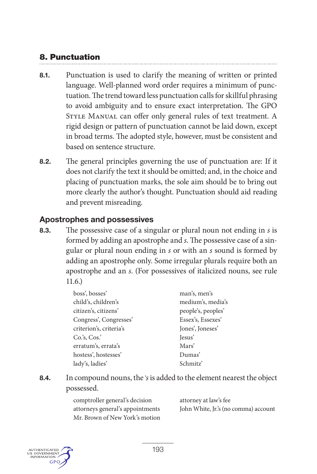# **8. Punctuation**

- **8.1.** Punctuation is used to clarify the meaning of written or printed language. Well-planned word order requires a minimum of punctuation. The trend toward less punctuation calls for skillful phrasing to avoid ambiguity and to ensure exact interpretation. The GPO Style Manual can offer only general rules of text treatment. A rigid design or pattern of punctuation cannot be laid down, except in broad terms. The adopted style, however, must be consistent and based on sentence structure.
- **8.2.** The general principles governing the use of punctuation are: If it does not clarify the text it should be omitted; and, in the choice and placing of punctuation marks, the sole aim should be to bring out more clearly the author's thought. Punctuation should aid reading and prevent misreading.

# **Apostrophes and possessives**

**8.3.** The possessive case of a singular or plural noun not ending in *s* is formed by adding an apostrophe and *s*. The possessive case of a singular or plural noun ending in *s* or with an *s* sound is formed by adding an apostrophe only. Some irregular plurals require both an apostrophe and an *s*. (For possessives of italicized nouns, see rule 11.6.)

| boss', bosses'          | man's, men's       |
|-------------------------|--------------------|
| child's, children's     | medium's, media's  |
| citizen's, citizens'    | people's, peoples' |
| Congress', Congresses'  | Essex's, Essexes'  |
| criterion's, criteria's | Jones', Joneses'   |
| $Co.'s$ , $Cos.'$       | Jesus'             |
| erratum's, errata's     | Mars'              |
| hostess', hostesses'    | Dumas'             |
| lady's, ladies'         | Schmitz'           |
|                         |                    |

**8.4.** In compound nouns, the '*s* is added to the element nearest the object possessed.

| comptroller general's decision   |
|----------------------------------|
| attorneys general's appointments |
| Mr. Brown of New York's motion   |

attorney at law's fee John White, Jr.'s (no comma) account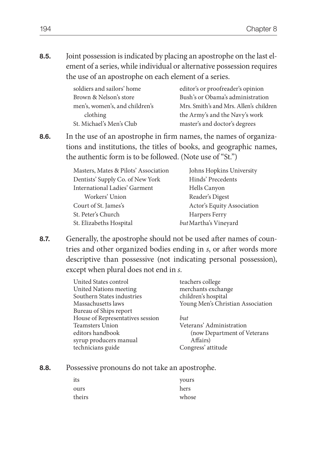**8.5.** Joint possession is indicated by placing an apostrophe on the last element of a series, while individual or alternative possession requires the use of an apostrophe on each element of a series.

| soldiers and sailors' home     | editor's or proofreader's opinion      |
|--------------------------------|----------------------------------------|
| Brown & Nelson's store         | Bush's or Obama's administration       |
| men's, women's, and children's | Mrs. Smith's and Mrs. Allen's children |
| clothing                       | the Army's and the Navy's work         |
| St. Michael's Men's Club       | master's and doctor's degrees          |

**8.6.** In the use of an apostrophe in firm names, the names of organizations and institutions, the titles of books, and geographic names, the authentic form is to be followed. (Note use of "St.")

| Masters, Mates & Pilots' Association | Johns Hopkins University   |
|--------------------------------------|----------------------------|
| Dentists' Supply Co. of New York     | Hinds' Precedents          |
| International Ladies' Garment        | Hells Canyon               |
| Workers' Union                       | Reader's Digest            |
| Court of St. James's                 | Actor's Equity Association |
| St. Peter's Church                   | Harpers Ferry              |
| St. Elizabeths Hospital              | but Martha's Vineyard      |

**8.7.** Generally, the apostrophe should not be used after names of countries and other organized bodies ending in *s*, or after words more descriptive than possessive (not indicating personal possession), except when plural does not end in *s*.

| United States control<br>United Nations meeting<br>Southern States industries<br>Massachusetts laws<br>Bureau of Ships report | teachers college<br>merchants exchange<br>children's hospital<br>Young Men's Christian Association |
|-------------------------------------------------------------------------------------------------------------------------------|----------------------------------------------------------------------------------------------------|
| House of Representatives session                                                                                              | but                                                                                                |
| <b>Teamsters Union</b>                                                                                                        | Veterans' Administration                                                                           |
| editors handbook                                                                                                              | (now Department of Veterans                                                                        |
| syrup producers manual                                                                                                        | Affairs)                                                                                           |
| technicians guide                                                                                                             | Congress' attitude                                                                                 |

**8.8.** Possessive pronouns do not take an apostrophe.

| its    | yours |
|--------|-------|
| ours   | hers  |
| theirs | whose |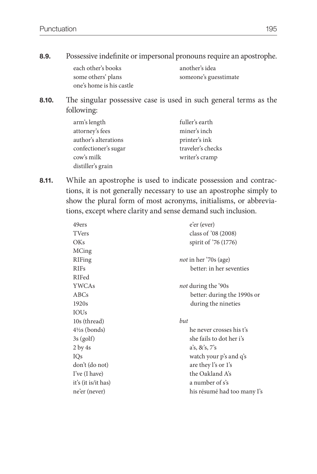**8.9.** Possessive indefinite or impersonal pronouns require an apostrophe.

| each other's books       | another's idea        |
|--------------------------|-----------------------|
| some others' plans       | someone's guesstimate |
| one's home is his castle |                       |

**8.10.** The singular possessive case is used in such general terms as the following:

| arm's length         | fuller's earth    |
|----------------------|-------------------|
| attorney's fees      | miner's inch      |
| author's alterations | printer's ink     |
| confectioner's sugar | traveler's checks |
| cow's milk           | writer's cramp    |
| distiller's grain    |                   |

**8.11.** While an apostrophe is used to indicate possession and contractions, it is not generally necessary to use an apostrophe simply to show the plural form of most acronyms, initialisms, or abbreviations, except where clarity and sense demand such inclusion.

| 49ers                    | e'er (ever)                  |
|--------------------------|------------------------------|
| TVers                    | class of '08 (2008)          |
| OKs                      | spirit of '76 (1776)         |
| MCing                    |                              |
| RIFing                   | <i>not</i> in her '70s (age) |
| <b>RIFs</b>              | better: in her seventies     |
| RIFed                    |                              |
| <b>YWCAs</b>             | <i>not</i> during the '90s   |
| ABCs                     | better: during the 1990s or  |
| 1920s                    | during the nineties          |
| <b>IOUs</b>              |                              |
| 10s (thread)             | but                          |
| $4\frac{1}{2}$ s (bonds) | he never crosses his t's     |
| $3s$ (golf)              | she fails to dot her i's     |
| 2 by 4s                  | a's, & s, 7's                |
| IOs                      | watch your p's and q's       |
| don't (do not)           | are they l's or 1's          |
| I've (I have)            | the Oakland A's              |
| it's (it is/it has)      | a number of s's              |
| ne'er (never)            | his résumé had too many I's  |
|                          |                              |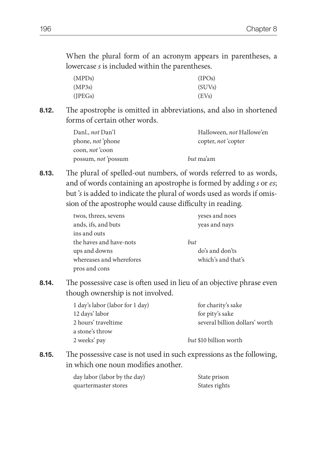When the plural form of an acronym appears in parentheses, a lowercase *s* is included within the parentheses.

| (MPDs) | (IPOs)              |
|--------|---------------------|
| (MP3s) | (SUV <sub>s</sub> ) |
| (JEGs) | (EVs)               |

**8.12.** The apostrophe is omitted in abbreviations, and also in shortened forms of certain other words.

| Danl., <i>not</i> Dan'l   | Halloween, <i>not</i> Hallowe'en |
|---------------------------|----------------------------------|
| phone, <i>not</i> 'phone  | copter, not copter               |
| coon, <i>not</i> coon     |                                  |
| possum, <i>not</i> possum | <i>but</i> ma'am                 |

**8.13.** The plural of spelled-out numbers, of words referred to as words, and of words containing an apostrophe is formed by adding *s* or *es*; but '*s* is added to indicate the plural of words used as words if omission of the apostrophe would cause difficulty in reading.

| twos, threes, sevens     | yeses and noes     |
|--------------------------|--------------------|
| ands, ifs, and buts      | yeas and nays      |
| ins and outs             |                    |
| the haves and have-nots  | but                |
| ups and downs            | do's and don'ts    |
| whereases and wherefores | which's and that's |
| pros and cons            |                    |

**8.14.** The possessive case is often used in lieu of an objective phrase even though ownership is not involved.

| 1 day's labor (labor for 1 day) | for charity's sake             |
|---------------------------------|--------------------------------|
| 12 days' labor                  | for pity's sake                |
| 2 hours' traveltime             | several billion dollars' worth |
| a stone's throw                 |                                |
| 2 weeks' pay                    | <i>but</i> \$10 billion worth  |

**8.15.** The possessive case is not used in such expressions as the following, in which one noun modifies another.

| day labor (labor by the day) | State prison  |
|------------------------------|---------------|
| quartermaster stores         | States rights |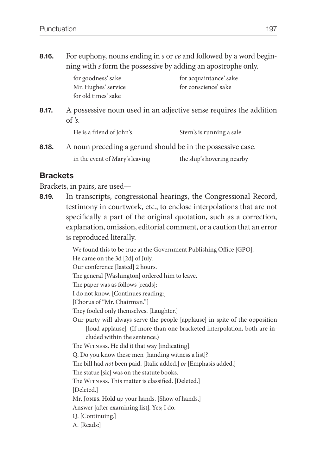**8.16.** For euphony, nouns ending in *s* or *ce* and followed by a word beginning with *s* form the possessive by adding an apostrophe only.

| for acquaintance' sake |
|------------------------|
| for conscience' sake   |
|                        |
|                        |

**8.17.** A possessive noun used in an adjective sense requires the addition of *'s*.

| He is a friend of John's. | Stern's is running a sale. |
|---------------------------|----------------------------|
|---------------------------|----------------------------|

**8.18.** A noun preceding a gerund should be in the possessive case. in the event of Mary's leaving the ship's hovering nearby

# **Brackets**

Brackets, in pairs, are used—

**8.19.** In transcripts, congressional hearings, the Congressional Record, testimony in courtwork, etc., to enclose interpolations that are not specifically a part of the original quotation, such as a correction, explanation, omission, editorial comment, or a caution that an error is reproduced literally.

We found this to be true at the Government Publishing Office [GPO].

He came on the 3d [2d] of July.

Our conference [lasted] 2 hours.

The general [Washington] ordered him to leave.

The paper was as follows [reads]:

I do not know. [Continues reading:]

[Chorus of "Mr. Chairman."]

They fooled only themselves. [Laughter.]

Our party will always serve the people [applause] in spite of the opposition [loud applause]. (If more than one bracketed interpolation, both are included within the sentence.)

The WITNESS. He did it that way [indicating].

Q. Do you know these men [handing witness a list]?

The bill had *not* been paid. [Italic added.] *or* [Emphasis added.]

The statue [sic] was on the statute books.

The WITNESS. This matter is classified. [Deleted.]

[Deleted.]

Mr. Jones. Hold up your hands. [Show of hands.]

Answer [after examining list]. Yes; I do.

- Q. [Continuing.]
- A. [Reads:]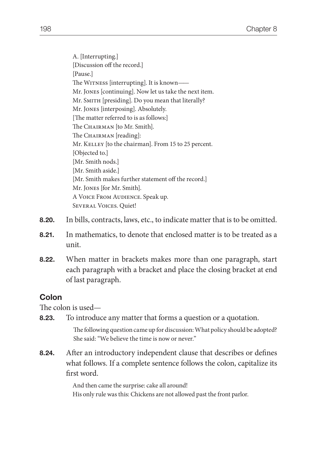A. [Interrupting.] [Discussion off the record.] [Pause.] The WITNESS [interrupting]. It is known— Mr. Jones [continuing]. Now let us take the next item. Mr. SMITH [presiding]. Do you mean that literally? Mr. Jones [interposing]. Absolutely. [The matter referred to is as follows:] The CHAIRMAN [to Mr. Smith]. The CHAIRMAN [reading]: Mr. KELLEY [to the chairman]. From 15 to 25 percent. [Objected to.] [Mr. Smith nods.] [Mr. Smith aside.] [Mr. Smith makes further statement off the record.] Mr. Jones [for Mr. Smith]. A Voice From Audience. Speak up. Several Voices. Quiet!

- **8.20.** In bills, contracts, laws, etc., to indicate matter that is to be omitted.
- **8.21.** In mathematics, to denote that enclosed matter is to be treated as a unit.
- **8.22.** When matter in brackets makes more than one paragraph, start each paragraph with a bracket and place the closing bracket at end of last paragraph.

## **Colon**

The colon is used—

**8.23.** To introduce any matter that forms a question or a quotation.

The following question came up for discussion: What policy should be adopted? She said: "We believe the time is now or never."

**8.24.** After an introductory independent clause that describes or defines what follows. If a complete sentence follows the colon, capitalize its first word.

> And then came the surprise: cake all around! His only rule was this: Chickens are not allowed past the front parlor.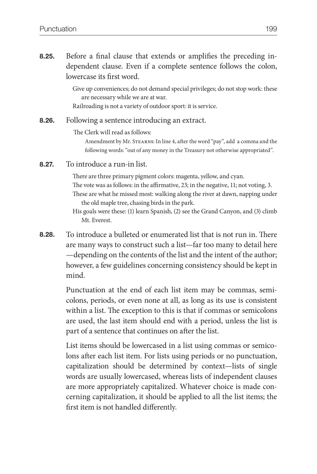**8.25.** Before a final clause that extends or amplifies the preceding independent clause. Even if a complete sentence follows the colon, lowercase its first word.

> Give up conveniences; do not demand special privileges; do not stop work: these are necessary while we are at war.

Railroading is not a variety of outdoor sport: it is service.

#### **8.26.** Following a sentence introducing an extract.

The Clerk will read as follows:

 Amendment by Mr. Stearns: In line 4, after the word "pay", add a comma and the following words: "out of any money in the Treasury not otherwise appropriated".

**8.27.** To introduce a run-in list.

There are three primary pigment colors: magenta, yellow, and cyan. The vote was as follows: in the affirmative, 23; in the negative, 11; not voting, 3. These are what he missed most: walking along the river at dawn, napping under the old maple tree, chasing birds in the park.

His goals were these: (1) learn Spanish, (2) see the Grand Canyon, and (3) climb Mt. Everest.

**8.28.** To introduce a bulleted or enumerated list that is not run in. There are many ways to construct such a list—far too many to detail here —depending on the contents of the list and the intent of the author; however, a few guidelines concerning consistency should be kept in mind.

> Punctuation at the end of each list item may be commas, semicolons, periods, or even none at all, as long as its use is consistent within a list. The exception to this is that if commas or semicolons are used, the last item should end with a period, unless the list is part of a sentence that continues on after the list.

> List items should be lowercased in a list using commas or semicolons after each list item. For lists using periods or no punctuation, capitalization should be determined by context—lists of single words are usually lowercased, whereas lists of independent clauses are more appropriately capitalized. Whatever choice is made concerning capitalization, it should be applied to all the list items; the first item is not handled differently.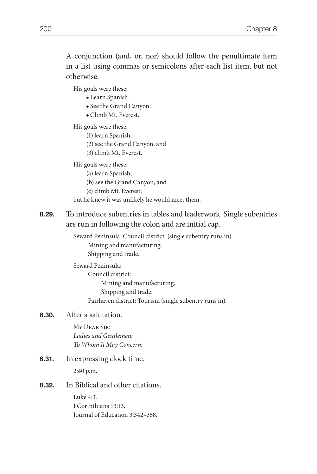A conjunction (and, or, nor) should follow the penultimate item in a list using commas or semicolons after each list item, but not otherwise.

His goals were these:

- Learn Spanish.
- See the Grand Canyon.
- Climb Mt. Everest.

His goals were these:

- (1) learn Spanish,
- (2) see the Grand Canyon, and
- (3) climb Mt. Everest.

His goals were these:

- (a) learn Spanish,
- (b) see the Grand Canyon, and
- (c) climb Mt. Everest;

but he knew it was unlikely he would meet them.

**8.29.** To introduce subentries in tables and leaderwork. Single subentries are run in following the colon and are initial cap.

> Seward Peninsula: Council district: (single subentry runs in). Mining and manufacturing. Shipping and trade.

### Seward Peninsula:

 Council district: Mining and manufacturing. Shipping and trade. Fairhaven district: Tourism (single subentry runs in).

#### **8.30.** After a salutation.

My Dear Sir: *Ladies and Gentlemen: To Whom It May Concern:*

**8.31.** In expressing clock time. 2:40 p.m.

#### **8.32.** In Biblical and other citations.

Luke 4:3. I Corinthians 13:13. Journal of Education 3:342–358.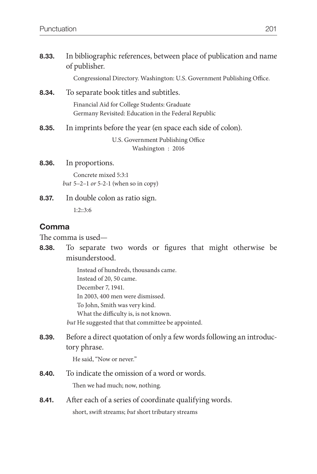| 8.33. | In bibliographic references, between place of publication and name<br>of publisher.                  |
|-------|------------------------------------------------------------------------------------------------------|
|       | Congressional Directory. Washington: U.S. Government Publishing Office.                              |
| 8.34. | To separate book titles and subtitles.                                                               |
|       | Financial Aid for College Students: Graduate<br>Germany Revisited: Education in the Federal Republic |
| 8.35. | In imprints before the year (en space each side of colon).                                           |
|       | U.S. Government Publishing Office<br>Washington: 2016                                                |
| 8.36. | In proportions.                                                                                      |
|       | Concrete mixed 5:3:1                                                                                 |
|       | but $5-2-1$ or $5-2-1$ (when so in copy)                                                             |
| 8.37. | In double colon as ratio sign.                                                                       |
|       | 1:2::3:6                                                                                             |

# **Comma**

The comma is used—

**8.38.** To separate two words or figures that might otherwise be misunderstood.

> Instead of hundreds, thousands came. Instead of 20, 50 came. December 7, 1941. In 2003, 400 men were dismissed. To John, Smith was very kind. What the difficulty is, is not known. *but* He suggested that that committee be appointed.

**8.39.** Before a direct quotation of only a few words following an introductory phrase.

He said, "Now or never."

- **8.40.** To indicate the omission of a word or words. Then we had much; now, nothing.
- **8.41.** After each of a series of coordinate qualifying words. short, swift streams; *but* short tributary streams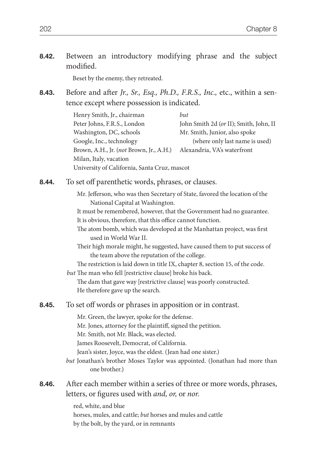|           | 8.42. Between an introductory modifying phrase and the subject |  |  |  |
|-----------|----------------------------------------------------------------|--|--|--|
| modified. |                                                                |  |  |  |

Beset by the enemy, they retreated.

**8.43.** Before and after *Jr., Sr., Esq., Ph.D., F.R.S., Inc.,* etc., within a sentence except where possession is indicated.

| Henry Smith, Jr., chairman                   | but                                    |  |
|----------------------------------------------|----------------------------------------|--|
| Peter Johns, F.R.S., London                  | John Smith 2d (or II); Smith, John, II |  |
| Washington, DC, schools                      | Mr. Smith, Junior, also spoke          |  |
| Google, Inc., technology                     | (where only last name is used)         |  |
| Brown, A.H., Jr. (not Brown, Jr., A.H.)      | Alexandria, VA's waterfront            |  |
| Milan, Italy, vacation                       |                                        |  |
| University of California, Santa Cruz, mascot |                                        |  |

**8.44.** To set off parenthetic words, phrases, or clauses.

 Mr. Jefferson, who was then Secretary of State, favored the location of the National Capital at Washington.

 It must be remembered, however, that the Government had no guarantee. It is obvious, therefore, that this office cannot function.

 The atom bomb, which was developed at the Manhattan project, was first used in World War II.

 Their high morale might, he suggested, have caused them to put success of the team above the reputation of the college.

 The restriction is laid down in title IX, chapter 8, section 15, of the code. *but* The man who fell [restrictive clause] broke his back.

 The dam that gave way [restrictive clause] was poorly constructed. He therefore gave up the search.

**8.45.** To set off words or phrases in apposition or in contrast.

Mr. Green, the lawyer, spoke for the defense.

- Mr. Jones, attorney for the plaintiff, signed the petition.
- Mr. Smith, not Mr. Black, was elected.

James Roosevelt, Democrat, of California.

Jean's sister, Joyce, was the eldest. (Jean had one sister.)

*but* Jonathan's brother Moses Taylor was appointed. (Jonathan had more than one brother.)

### **8.46.** After each member within a series of three or more words, phrases, letters, or figures used with *and, or,* or *nor*.

red, white, and blue horses, mules, and cattle; *but* horses and mules and cattle by the bolt, by the yard, or in remnants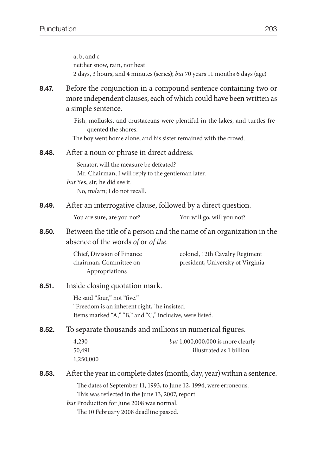|       | a, b, and c<br>neither snow, rain, nor heat                                                                                                                        | 2 days, 3 hours, and 4 minutes (series); but 70 years 11 months 6 days (age)                                                                      |  |
|-------|--------------------------------------------------------------------------------------------------------------------------------------------------------------------|---------------------------------------------------------------------------------------------------------------------------------------------------|--|
| 8.47. | Before the conjunction in a compound sentence containing two or<br>more independent clauses, each of which could have been written as<br>a simple sentence.        |                                                                                                                                                   |  |
|       | quented the shores.                                                                                                                                                | Fish, mollusks, and crustaceans were plentiful in the lakes, and turtles fre-<br>The boy went home alone, and his sister remained with the crowd. |  |
| 8.48. | After a noun or phrase in direct address.                                                                                                                          |                                                                                                                                                   |  |
|       | Senator, will the measure be defeated?<br>Mr. Chairman, I will reply to the gentleman later.<br><i>but</i> Yes, sir; he did see it.<br>No, ma'am; I do not recall. |                                                                                                                                                   |  |
| 8.49. | After an interrogative clause, followed by a direct question.                                                                                                      |                                                                                                                                                   |  |
|       | You are sure, are you not?                                                                                                                                         | You will go, will you not?                                                                                                                        |  |
| 8.50. | Between the title of a person and the name of an organization in the<br>absence of the words of or of the.                                                         |                                                                                                                                                   |  |
|       | Chief, Division of Finance<br>chairman, Committee on<br>Appropriations                                                                                             | colonel, 12th Cavalry Regiment<br>president, University of Virginia                                                                               |  |
| 8.51. | Inside closing quotation mark.                                                                                                                                     |                                                                                                                                                   |  |
|       | He said "four," not "five."<br>"Freedom is an inherent right," he insisted.<br>Items marked "A," "B," and "C," inclusive, were listed.                             |                                                                                                                                                   |  |
| 8.52. | To separate thousands and millions in numerical figures.                                                                                                           |                                                                                                                                                   |  |
|       | 4,230<br>50,491<br>1,250,000                                                                                                                                       | but $1,000,000,000$ is more clearly<br>illustrated as 1 billion                                                                                   |  |
| 8.53. |                                                                                                                                                                    | After the year in complete dates (month, day, year) within a sentence.                                                                            |  |
|       | This was reflected in the June 13, 2007, report.<br>but Production for June 2008 was normal.<br>The 10 February 2008 deadline passed.                              | The dates of September 11, 1993, to June 12, 1994, were erroneous.                                                                                |  |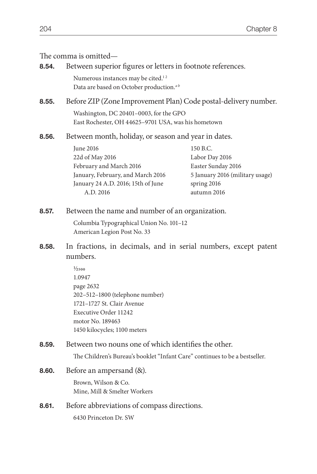## The comma is omitted—

| 8.54. | Between superior figures or letters in footnote references.                                                                                                                                  |                                                                                                                   |  |
|-------|----------------------------------------------------------------------------------------------------------------------------------------------------------------------------------------------|-------------------------------------------------------------------------------------------------------------------|--|
|       | Numerous instances may be cited. <sup>12</sup><br>Data are based on October production. <sup>ab</sup>                                                                                        |                                                                                                                   |  |
| 8.55. | Before ZIP (Zone Improvement Plan) Code postal-delivery number.                                                                                                                              |                                                                                                                   |  |
|       | Washington, DC 20401-0003, for the GPO<br>East Rochester, OH 44625-9701 USA, was his hometown                                                                                                |                                                                                                                   |  |
| 8.56. | Between month, holiday, or season and year in dates.                                                                                                                                         |                                                                                                                   |  |
|       | <b>June 2016</b><br>22d of May 2016<br>February and March 2016<br>January, February, and March 2016<br>January 24 A.D. 2016; 15th of June<br>A.D. 2016                                       | 150 B.C.<br>Labor Day 2016<br>Easter Sunday 2016<br>5 January 2016 (military usage)<br>spring 2016<br>autumn 2016 |  |
| 8.57. | Between the name and number of an organization.                                                                                                                                              |                                                                                                                   |  |
|       | Columbia Typographical Union No. 101-12<br>American Legion Post No. 33                                                                                                                       |                                                                                                                   |  |
| 8.58. | In fractions, in decimals, and in serial numbers, except patent<br>numbers.                                                                                                                  |                                                                                                                   |  |
|       | $\frac{1}{2500}$<br>1.0947<br>page 2632<br>202-512-1800 (telephone number)<br>1721-1727 St. Clair Avenue<br><b>Executive Order 11242</b><br>motor No. 189463<br>1450 kilocycles; 1100 meters |                                                                                                                   |  |
| 8.59. | Between two nouns one of which identifies the other.                                                                                                                                         |                                                                                                                   |  |
|       | The Children's Bureau's booklet "Infant Care" continues to be a bestseller.                                                                                                                  |                                                                                                                   |  |
| 8.60. | Before an ampersand $(\&)$ .                                                                                                                                                                 |                                                                                                                   |  |

Brown, Wilson & Co. Mine, Mill & Smelter Workers

**8.61.** Before abbreviations of compass directions. 6430 Princeton Dr. SW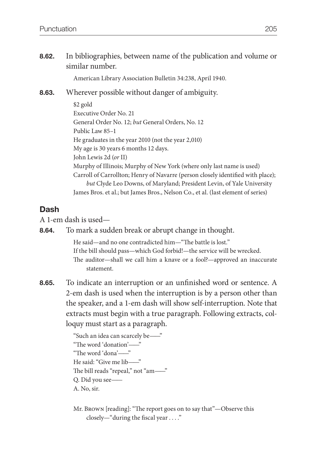**8.62.** In bibliographies, between name of the publication and volume or similar number.

American Library Association Bulletin 34:238, April 1940.

### **8.63.** Wherever possible without danger of ambiguity.

\$2 gold Executive Order No. 21 General Order No. 12; *but* General Orders, No. 12 Public Law 85–1 He graduates in the year 2010 (not the year 2,010) My age is 30 years 6 months 12 days. John Lewis 2d (*or* II) Murphy of Illinois; Murphy of New York (where only last name is used) Carroll of Carrollton; Henry of Navarre (person closely identified with place); *but* Clyde Leo Downs, of Maryland; President Levin, of Yale University James Bros. et al.; but James Bros., Nelson Co., et al. (last element of series)

### **Dash**

A 1-em dash is used—

**8.64.** To mark a sudden break or abrupt change in thought.

He said—and no one contradicted him—"The battle is lost." If the bill should pass—which God forbid!—the service will be wrecked. The auditor—shall we call him a knave or a fool?—approved an inaccurate statement.

**8.65.** To indicate an interruption or an unfinished word or sentence. A 2-em dash is used when the interruption is by a person other than the speaker, and a 1-em dash will show self-interruption. Note that extracts must begin with a true paragraph. Following extracts, colloquy must start as a paragraph.

> "Such an idea can scarcely be——" "The word 'donation'——" "The word 'dona'——" He said: "Give me lib——" The bill reads "repeal," not "am——" Q. Did you see—— A. No, sir.

Mr. Brown [reading]: "The report goes on to say that"—Observe this closely—"during the fiscal year . . . ."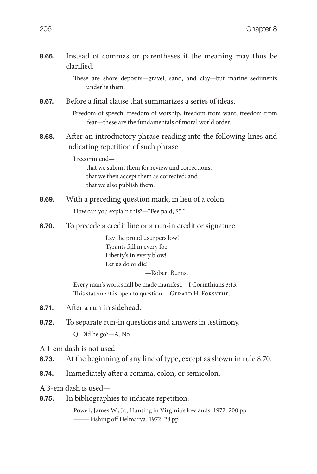| 8.66. | Instead of commas or parentheses if the meaning may thus be<br>clarified.                                                                   |
|-------|---------------------------------------------------------------------------------------------------------------------------------------------|
|       | These are shore deposits-gravel, sand, and clay-but marine sediments<br>underlie them.                                                      |
| 8.67. | Before a final clause that summarizes a series of ideas.                                                                                    |
|       | Freedom of speech, freedom of worship, freedom from want, freedom from<br>fear—these are the fundamentals of moral world order.             |
| 8.68. | After an introductory phrase reading into the following lines and<br>indicating repetition of such phrase.                                  |
|       | I recommend-<br>that we submit them for review and corrections;<br>that we then accept them as corrected; and<br>that we also publish them. |
| 8.69. | With a preceding question mark, in lieu of a colon.                                                                                         |
|       | How can you explain this?-"Fee paid, \$5."                                                                                                  |
| 8.70. | To precede a credit line or a run-in credit or signature.                                                                                   |
|       | Lay the proud usurpers low!<br>Tyrants fall in every foe!<br>Liberty's in every blow!<br>Let us do or die!<br>-Robert Burns.                |
|       | Every man's work shall be made manifest.-I Corinthians 3:13.<br>This statement is open to question. - GERALD H. FORSYTHE.                   |
| 8.71. | After a run-in sidehead.                                                                                                                    |
| 8.72. | To separate run-in questions and answers in testimony.<br>Q. Did he go?-A. No.                                                              |
| 8.73. | A 1-em dash is not used-<br>At the beginning of any line of type, except as shown in rule 8.70.                                             |
| 8.74. | Immediately after a comma, colon, or semicolon.                                                                                             |
| 8.75. | A 3-em dash is used—<br>In bibliographies to indicate repetition.                                                                           |

Powell, James W., Jr., Hunting in Virginia's lowlands. 1972. 200 pp. ——— Fishing off Delmarva. 1972. 28 pp.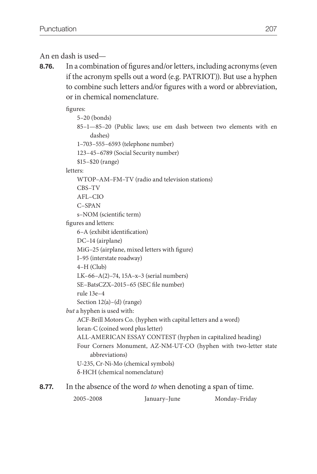An en dash is used—

**8.76.** In a combination of figures and/or letters, including acronyms (even if the acronym spells out a word (e.g. PATRIOT)). But use a hyphen to combine such letters and/or figures with a word or abbreviation, or in chemical nomenclature.

figures:

5–20 (bonds)

 85–1—85–20 (Public laws; use em dash between two elements with en dashes)

1–703–555–6593 (telephone number)

123–45–6789 (Social Security number)

\$15–\$20 (range)

letters:

WTOP–AM–FM–TV (radio and television stations)

CBS–TV

AFL–CIO

C–SPAN

s–NOM (scientific term)

figures and letters:

6–A (exhibit identification)

```
 DC–14 (airplane)
```
MiG–25 (airplane, mixed letters with figure)

I–95 (interstate roadway)

4–H (Club)

LK–66–A(2)–74, 15A–x–3 (serial numbers)

SE–BatsCZX–2015–65 (SEC file number)

rule 13e–4

Section 12(a)–(d) (range)

*but* a hyphen is used with:

ACF-Brill Motors Co. (hyphen with capital letters and a word)

loran-C (coined word plus letter)

ALL-AMERICAN ESSAY CONTEST (hyphen in capitalized heading)

 Four Corners Monument, AZ-NM-UT-CO (hyphen with two-letter state abbreviations)

 U-235, Cr-Ni-Mo (chemical symbols) б-HCH (chemical nomenclature)

**8.77.** In the absence of the word *to* when denoting a span of time.

2005–2008 January–June Monday–Friday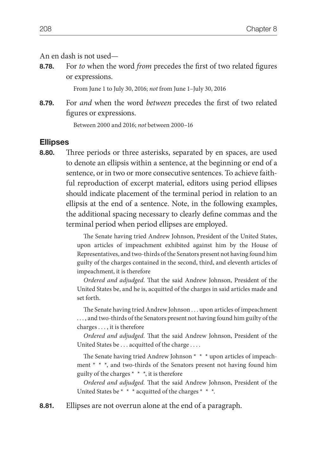#### An en dash is not used—

**8.78.** For *to* when the word *from* precedes the first of two related figures or expressions.

From June 1 to July 30, 2016; *not* from June 1–July 30, 2016

**8.79.** For *and* when the word *between* precedes the first of two related figures or expressions.

Between 2000 and 2016; *not* between 2000–16

#### **Ellipses**

**8.80.** Three periods or three asterisks, separated by en spaces, are used to denote an ellipsis within a sentence, at the beginning or end of a sentence, or in two or more consecutive sentences. To achieve faithful reproduction of excerpt material, editors using period ellipses should indicate placement of the terminal period in relation to an ellipsis at the end of a sentence. Note, in the following examples, the additional spacing necessary to clearly define commas and the terminal period when period ellipses are employed.

> The Senate having tried Andrew Johnson, President of the United States, upon articles of impeachment exhibited against him by the House of Representatives, and two-thirds of the Senators present not having found him guilty of the charges contained in the second, third, and eleventh articles of impeachment, it is therefore

> *Ordered and adjudged*. That the said Andrew Johnson, President of the United States be, and he is, acquitted of the charges in said articles made and set forth.

> The Senate having tried Andrew Johnson . . . upon articles of impeachment . . . , and two-thirds of the Senators present not having found him guilty of the charges . . . , it is therefore

> *Ordered and adjudged.* That the said Andrew Johnson, President of the United States be . . . acquitted of the charge . . . .

> The Senate having tried Andrew Johnson \* \* \* upon articles of impeachment \* \* \*, and two-thirds of the Senators present not having found him guilty of the charges  $* * *$ , it is therefore

> *Ordered and adjudged.* That the said Andrew Johnson, President of the United States be \* \* \* acquitted of the charges \* \* \*.

**8.81.** Ellipses are not overrun alone at the end of a paragraph.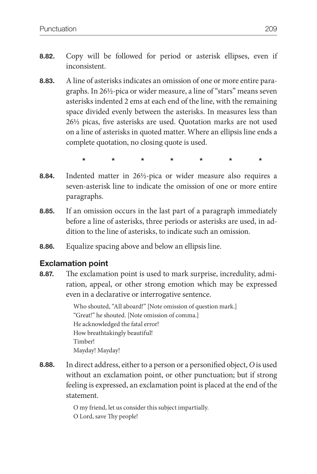- **8.82.** Copy will be followed for period or asterisk ellipses, even if inconsistent.
- **8.83.** A line of asterisks indicates an omission of one or more entire paragraphs. In 26½-pica or wider measure, a line of "stars" means seven asterisks indented 2 ems at each end of the line, with the remaining space divided evenly between the asterisks. In measures less than 26½ picas, five asterisks are used. Quotation marks are not used on a line of asterisks in quoted matter. Where an ellipsis line ends a complete quotation, no closing quote is used.
	- **\* \* \* \* \* \* \***
- **8.84.** Indented matter in 26½-pica or wider measure also requires a seven-asterisk line to indicate the omission of one or more entire paragraphs.
- **8.85.** If an omission occurs in the last part of a paragraph immediately before a line of asterisks, three periods or asterisks are used, in addition to the line of asterisks, to indicate such an omission.
- **8.86.** Equalize spacing above and below an ellipsis line.

# **Exclamation point**

**8.87.** The exclamation point is used to mark surprise, incredulity, admiration, appeal, or other strong emotion which may be expressed even in a declarative or interrogative sentence.

> Who shouted, "All aboard!" [Note omission of question mark.] "Great!" he shouted. [Note omission of comma.] He acknowledged the fatal error! How breathtakingly beautiful! Timber! Mayday! Mayday!

**8.88.** In direct address, either to a person or a personified object, *O* is used without an exclamation point, or other punctuation; but if strong feeling is expressed, an exclamation point is placed at the end of the statement.

> O my friend, let us consider this subject impartially. O Lord, save Thy people!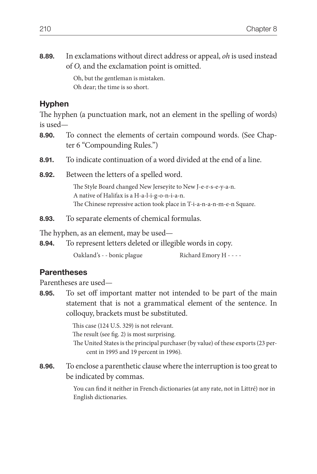**8.89.** In exclamations without direct address or appeal, *oh* is used instead of *O,* and the exclamation point is omitted.

> Oh, but the gentleman is mistaken. Oh dear; the time is so short.

## **Hyphen**

The hyphen (a punctuation mark, not an element in the spelling of words) is used—

- **8.90.** To connect the elements of certain compound words. (See Chapter 6 "Compounding Rules.")
- **8.91.** To indicate continuation of a word divided at the end of a line.
- **8.92.** Between the letters of a spelled word.

The Style Board changed New Jerseyite to New J-e-r-s-e-y-a-n. A native of Halifax is a H-a-l-i-g-o-n-i-a-n. The Chinese repressive action took place in T-i-a-n-a-n-m-e-n Square.

**8.93.** To separate elements of chemical formulas.

The hyphen, as an element, may be used—

**8.94.** To represent letters deleted or illegible words in copy.

Oakland's - - bonic plague Richard Emory H - - - -

## **Parentheses**

Parentheses are used—

**8.95.** To set off important matter not intended to be part of the main statement that is not a grammatical element of the sentence. In colloquy, brackets must be substituted.

> This case (124 U.S. 329) is not relevant. The result (see fig. 2) is most surprising. The United States is the principal purchaser (by value) of these exports (23 per cent in 1995 and 19 percent in 1996).

**8.96.** To enclose a parenthetic clause where the interruption is too great to be indicated by commas.

> You can find it neither in French dictionaries (at any rate, not in Littré) nor in English dictionaries.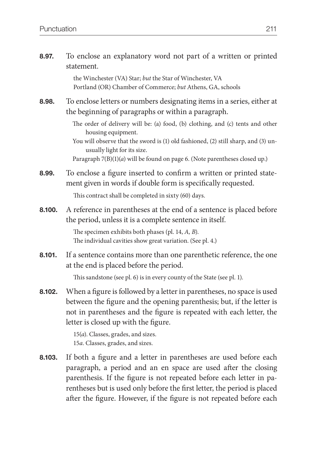**8.97.** To enclose an explanatory word not part of a written or printed statement.

> the Winchester (VA) Star; *but* the Star of Winchester, VA Portland (OR) Chamber of Commerce; *but* Athens, GA, schools

**8.98.** To enclose letters or numbers designating items in a series, either at the beginning of paragraphs or within a paragraph.

> The order of delivery will be: (a) food, (b) clothing, and (c) tents and other housing equipment.

> You will observe that the sword is (1) old fashioned, (2) still sharp, and (3) unusually light for its size.

Paragraph 7(B)(1)(*a*) will be found on page 6. (Note parentheses closed up.)

**8.99.** To enclose a figure inserted to confirm a written or printed statement given in words if double form is specifically requested.

This contract shall be completed in sixty (60) days.

**8.100.** A reference in parentheses at the end of a sentence is placed before the period, unless it is a complete sentence in itself.

> The specimen exhibits both phases (pl. 14, *A, B*). The individual cavities show great variation. (See pl. 4.)

**8.101.** If a sentence contains more than one parenthetic reference, the one at the end is placed before the period.

This sandstone (see pl. 6) is in every county of the State (see pl. 1).

**8.102.** When a figure is followed by a letter in parentheses, no space is used between the figure and the opening parenthesis; but, if the letter is not in parentheses and the figure is repeated with each letter, the letter is closed up with the figure.

> 15(*a*). Classes, grades, and sizes. 15*a*. Classes, grades, and sizes.

**8.103.** If both a figure and a letter in parentheses are used before each paragraph, a period and an en space are used after the closing parenthesis. If the figure is not repeated before each letter in parentheses but is used only before the first letter, the period is placed after the figure. However, if the figure is not repeated before each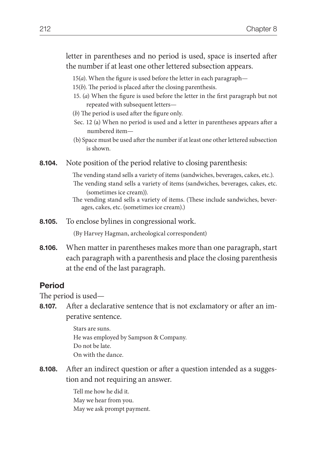letter in parentheses and no period is used, space is inserted after the number if at least one other lettered subsection appears.

- 15(*a*). When the figure is used before the letter in each paragraph—
- 15(*b*). The period is placed after the closing parenthesis.
- 15. (*a*) When the figure is used before the letter in the first paragraph but not repeated with subsequent letters—
- (*b*) The period is used after the figure only.
- Sec. 12 (a) When no period is used and a letter in parentheses appears after a numbered item—
- (b) Space must be used after the number if at least one other lettered subsection is shown.
- **8.104.** Note position of the period relative to closing parenthesis:

The vending stand sells a variety of items (sandwiches, beverages, cakes, etc.). The vending stand sells a variety of items (sandwiches, beverages, cakes, etc. (sometimes ice cream)).

The vending stand sells a variety of items. (These include sandwiches, beverages, cakes, etc. (sometimes ice cream).)

**8.105.** To enclose bylines in congressional work.

(By Harvey Hagman, archeological correspondent)

**8.106.** When matter in parentheses makes more than one paragraph, start each paragraph with a parenthesis and place the closing parenthesis at the end of the last paragraph.

### **Period**

The period is used—

**8.107.** After a declarative sentence that is not exclamatory or after an imperative sentence.

> Stars are suns. He was employed by Sampson & Company. Do not be late. On with the dance.

**8.108.** After an indirect question or after a question intended as a suggestion and not requiring an answer.

> Tell me how he did it. May we hear from you. May we ask prompt payment.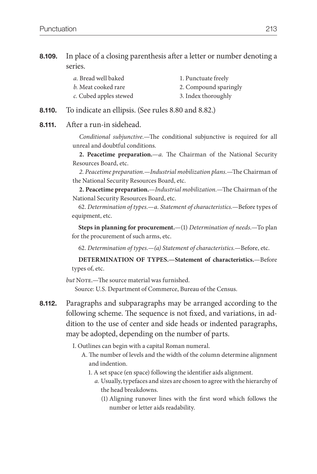### **8.109.** In place of a closing parenthesis after a letter or number denoting a series.

| a. Bread well baked    | 1. Punctuate freely   |
|------------------------|-----------------------|
| b. Meat cooked rare    | 2. Compound sparingly |
| c. Cubed apples stewed | 3. Index thoroughly   |

- **8.110.** To indicate an ellipsis. (See rules 8.80 and 8.82.)
- **8.111.** After a run-in sidehead.

 *Conditional subjunctive.*—The conditional subjunctive is required for all unreal and doubtful conditions.

 **2. Peacetime preparation.**—*a.* The Chairman of the National Security Resources Board, etc.

 *2. Peacetime preparation.—Industrial mobilization plans.*—The Chairman of the National Security Resources Board, etc.

 **2. Peacetime preparation.**—*Industrial mobilization.*—The Chairman of the National Security Resources Board, etc.

 62. *Determination of types.*—*a. Statement of characteristics.*—Before types of equipment, etc.

 **Steps in planning for procurement.**—(1) *Determination of needs.*—To plan for the procurement of such arms, etc.

62. *Determination of types.—(a) Statement of characteristics.*—Before, etc.

 **DETERMINATION OF TYPES.—Statement of characteristics.**—Before types of, etc.

*but* NOTE.—The source material was furnished. Source: U.S. Department of Commerce, Bureau of the Census.

**8.112.** Paragraphs and subparagraphs may be arranged according to the following scheme. The sequence is not fixed, and variations, in addition to the use of center and side heads or indented paragraphs, may be adopted, depending on the number of parts.

I. Outlines can begin with a capital Roman numeral.

- A. The number of levels and the width of the column determine alignment and indention.
	- 1. A set space (en space) following the identifier aids alignment.
		- *a.* Usually, typefaces and sizes are chosen to agree with the hierarchy of the head breakdowns.
			- (1) Aligning runover lines with the first word which follows the number or letter aids readability.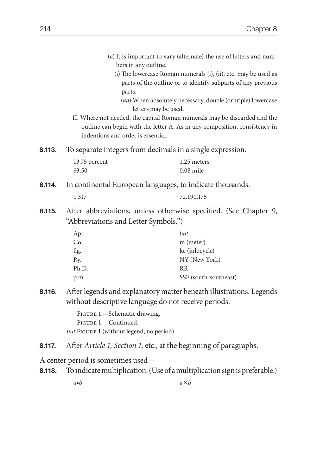| 8.113. | bers in any outline.<br>parts.<br>letters may be used.<br>II. Where not needed, the capital Roman numerals may be discarded and the<br>indentions and order is essential.<br>To separate integers from decimals in a single expression. | (a) It is important to vary (alternate) the use of letters and num-<br>(i) The lowercase Roman numerals (i), (ii), etc. may be used as<br>parts of the outline or to identify subparts of any previous<br>(aa) When absolutely necessary, double (or triple) lowercase<br>outline can begin with the letter A. As in any composition, consistency in |  |
|--------|-----------------------------------------------------------------------------------------------------------------------------------------------------------------------------------------------------------------------------------------|------------------------------------------------------------------------------------------------------------------------------------------------------------------------------------------------------------------------------------------------------------------------------------------------------------------------------------------------------|--|
|        |                                                                                                                                                                                                                                         |                                                                                                                                                                                                                                                                                                                                                      |  |
|        | 13.75 percent<br>\$3.50                                                                                                                                                                                                                 | 1.25 meters<br>$0.08$ mile                                                                                                                                                                                                                                                                                                                           |  |
| 8.114. | In continental European languages, to indicate thousands.                                                                                                                                                                               |                                                                                                                                                                                                                                                                                                                                                      |  |
|        | 1.317                                                                                                                                                                                                                                   | 72.190.175                                                                                                                                                                                                                                                                                                                                           |  |
| 8.115. | After abbreviations, unless otherwise specified. (See Chapter 9,<br>"Abbreviations and Letter Symbols.")                                                                                                                                |                                                                                                                                                                                                                                                                                                                                                      |  |
|        | Apr.<br>Co.<br>fig.<br>Ry.<br>Ph.D.<br>p.m.                                                                                                                                                                                             | but<br>m (meter)<br>kc (kilocycle)<br>NY (New York)<br>RR<br>SSE (south-southeast)                                                                                                                                                                                                                                                                   |  |
| 8.116. | After legends and explanatory matter beneath illustrations. Legends<br>without descriptive language do not receive periods.<br>FIGURE 1.-Schematic drawing.<br>FIGURE 1.-Continued.<br>but FIGURE 1 (without legend, no period)         |                                                                                                                                                                                                                                                                                                                                                      |  |
| 8.117. | After Article 1, Section 1, etc., at the beginning of paragraphs.                                                                                                                                                                       |                                                                                                                                                                                                                                                                                                                                                      |  |
|        | A center period is sometimes used—                                                                                                                                                                                                      |                                                                                                                                                                                                                                                                                                                                                      |  |
| 8.118. | To indicate multiplication. (Use of a multiplication sign is preferable.)                                                                                                                                                               |                                                                                                                                                                                                                                                                                                                                                      |  |
|        | $a \bullet b$                                                                                                                                                                                                                           | $a\times b$                                                                                                                                                                                                                                                                                                                                          |  |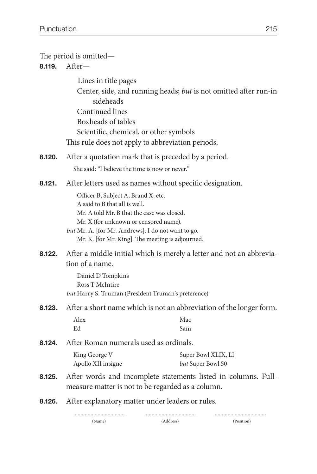| The period is omitted—<br>After-<br>8.119. |                                                                                                                                                                                                                                                                                                                                    |                                                                  |
|--------------------------------------------|------------------------------------------------------------------------------------------------------------------------------------------------------------------------------------------------------------------------------------------------------------------------------------------------------------------------------------|------------------------------------------------------------------|
|                                            | Lines in title pages<br>sideheads<br><b>Continued lines</b><br>Boxheads of tables<br>Scientific, chemical, or other symbols<br>This rule does not apply to abbreviation periods.                                                                                                                                                   | Center, side, and running heads; but is not omitted after run-in |
| 8.120.                                     | After a quotation mark that is preceded by a period.<br>She said: "I believe the time is now or never."                                                                                                                                                                                                                            |                                                                  |
| 8.121.                                     | After letters used as names without specific designation.<br>Officer B, Subject A, Brand X, etc.<br>A said to B that all is well.<br>Mr. A told Mr. B that the case was closed.<br>Mr. X (for unknown or censored name).<br>but Mr. A. [for Mr. Andrews]. I do not want to go.<br>Mr. K. [for Mr. King]. The meeting is adjourned. |                                                                  |
| 8.122.                                     | After a middle initial which is merely a letter and not an abbrevia-<br>tion of a name.<br>Daniel D Tompkins<br>Ross T McIntire<br>but Harry S. Truman (President Truman's preference)                                                                                                                                             |                                                                  |
| 8.123.                                     | After a short name which is not an abbreviation of the longer form.                                                                                                                                                                                                                                                                |                                                                  |
|                                            | Alex<br>Ed                                                                                                                                                                                                                                                                                                                         | Mac<br>Sam                                                       |
| 8.124.                                     | After Roman numerals used as ordinals.                                                                                                                                                                                                                                                                                             |                                                                  |
|                                            | King George V<br>Apollo XII insigne                                                                                                                                                                                                                                                                                                | Super Bowl XLIX, LI<br>but Super Bowl 50                         |
| 8.125.                                     | After words and incomplete statements listed in columns. Full-<br>measure matter is not to be regarded as a column.                                                                                                                                                                                                                |                                                                  |
| 8.126.                                     | After explanatory matter under leaders or rules.<br><br><br>                                                                                                                                                                                                                                                                       |                                                                  |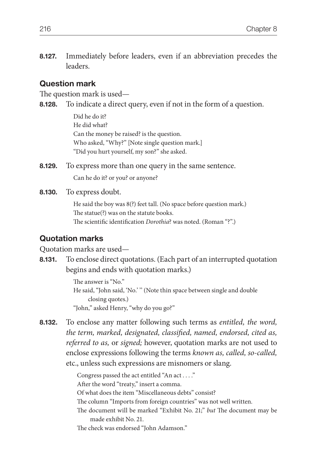**8.127.** Immediately before leaders, even if an abbreviation precedes the leaders.

### **Question mark**

The question mark is used—

**8.128.** To indicate a direct query, even if not in the form of a question.

Did he do it? He did what? Can the money be raised? is the question. Who asked, "Why?" [Note single question mark.] "Did you hurt yourself, my son?" she asked.

**8.129.** To express more than one query in the same sentence. Can he do it? or you? or anyone?

**8.130.** To express doubt.

He said the boy was 8(?) feet tall. (No space before question mark.) The statue(?) was on the statute books. The scientific identification *Dorothia*? was noted. (Roman "?".)

### **Quotation marks**

Quotation marks are used—

**8.131.** To enclose direct quotations. (Each part of an interrupted quotation begins and ends with quotation marks.)

> The answer is "No." He said, "John said, 'No.' '' (Note thin space between single and double closing quotes.) "John," asked Henry, "why do you go?"

**8.132.** To enclose any matter following such terms as *entitled, the word, the term, marked, designated, classified, named, endorsed, cited as, referred to as,* or *signed;* however, quotation marks are not used to enclose expressions following the terms *known as, called, so-called,* etc., unless such expressions are misnomers or slang.

> Congress passed the act entitled "An act . . . ." After the word "treaty," insert a comma. Of what does the item "Miscellaneous debts" consist? The column "Imports from foreign countries" was not well written. The document will be marked "Exhibit No. 21;" *but* The document may be made exhibit No. 21. The check was endorsed "John Adamson."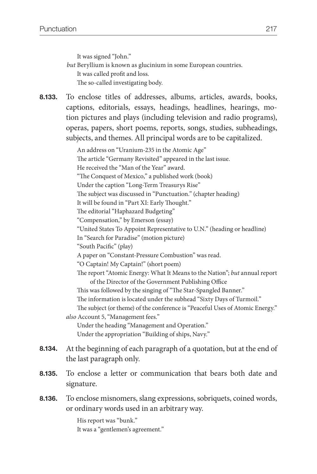It was signed "John."

*but* Beryllium is known as glucinium in some European countries. It was called profit and loss. The so-called investigating body.

**8.133.** To enclose titles of addresses, albums, articles, awards, books, captions, editorials, essays, headings, headlines, hearings, motion pictures and plays (including television and radio programs), operas, papers, short poems, reports, songs, studies, subheadings, subjects, and themes. All principal words are to be capitalized.

 An address on "Uranium-235 in the Atomic Age" The article "Germany Revisited" appeared in the last issue. He received the "Man of the Year" award. "The Conquest of Mexico," a published work (book) Under the caption "Long-Term Treasurys Rise" The subject was discussed in "Punctuation." (chapter heading) It will be found in "Part XI: Early Thought." The editorial "Haphazard Budgeting" "Compensation," by Emerson (essay) "United States To Appoint Representative to U.N." (heading or headline) In "Search for Paradise" (motion picture) "South Pacific" (play) A paper on "Constant-Pressure Combustion" was read. "O Captain! My Captain!" (short poem) The report "Atomic Energy: What It Means to the Nation"; *but* annual report of the Director of the Government Publishing Office This was followed by the singing of "The Star-Spangled Banner." The information is located under the subhead "Sixty Days of Turmoil." The subject (or theme) of the conference is "Peaceful Uses of Atomic Energy." *also* Account 5, "Management fees." Under the heading "Management and Operation." Under the appropriation "Building of ships, Navy." **8.134.** At the beginning of each paragraph of a quotation, but at the end of the last paragraph only. **8.135.** To enclose a letter or communication that bears both date and signature.

**8.136.** To enclose misnomers, slang expressions, sobriquets, coined words, or ordinary words used in an arbitrary way.

> His report was "bunk." It was a "gentlemen's agreement."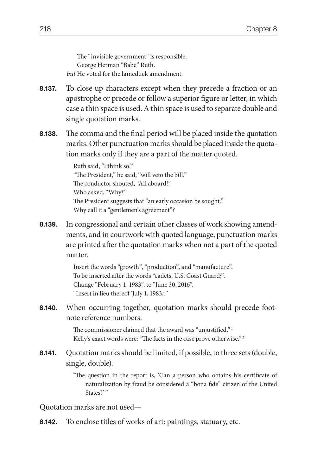The "invisible government" is responsible. George Herman "Babe" Ruth. *but* He voted for the lameduck amendment.

- **8.137.** To close up characters except when they precede a fraction or an apostrophe or precede or follow a superior figure or letter, in which case a thin space is used. A thin space is used to separate double and single quotation marks.
- **8.138.** The comma and the final period will be placed inside the quotation marks. Other punctuation marks should be placed inside the quotation marks only if they are a part of the matter quoted.

Ruth said, "I think so." "The President," he said, "will veto the bill." The conductor shouted, "All aboard!" Who asked, "Why?" The President suggests that "an early occasion be sought." Why call it a "gentlemen's agreement"?

**8.139.** In congressional and certain other classes of work showing amendments, and in courtwork with quoted language, punctuation marks are printed after the quotation marks when not a part of the quoted matter.

> Insert the words "growth", "production", and "manufacture". To be inserted after the words "cadets, U.S. Coast Guard;". Change "February 1, 1983", to "June 30, 2016". "Insert in lieu thereof 'July 1, 1983,'."

**8.140.** When occurring together, quotation marks should precede footnote reference numbers.

> The commissioner claimed that the award was "unjustified."<sup>1</sup> Kelly's exact words were: "The facts in the case prove otherwise."<sup>2</sup>

**8.141.** Quotation marks should be limited, if possible, to three sets (double, single, double).

> "The question in the report is, 'Can a person who obtains his certificate of naturalization by fraud be considered a "bona fide" citizen of the United States?"

Quotation marks are not used—

**8.142.** To enclose titles of works of art: paintings, statuary, etc.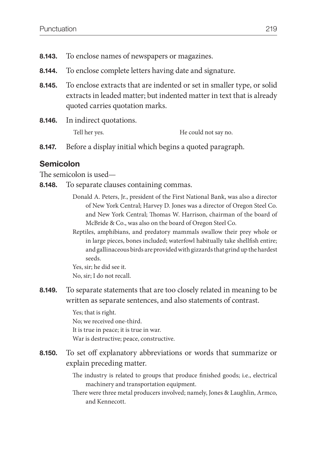- **8.143.** To enclose names of newspapers or magazines.
- **8.144.** To enclose complete letters having date and signature.
- **8.145.** To enclose extracts that are indented or set in smaller type, or solid extracts in leaded matter; but indented matter in text that is already quoted carries quotation marks.
- **8.146.** In indirect quotations. Tell her yes. He could not say no.
- **8.147.** Before a display initial which begins a quoted paragraph.

## **Semicolon**

The semicolon is used—

- **8.148.** To separate clauses containing commas.
	- Donald A. Peters, Jr., president of the First National Bank, was also a director of New York Central; Harvey D. Jones was a director of Oregon Steel Co. and New York Central; Thomas W. Harrison, chairman of the board of McBride & Co., was also on the board of Oregon Steel Co.
	- Reptiles, amphibians, and predatory mammals swallow their prey whole or in large pieces, bones included; waterfowl habitually take shellfish entire; and gallinaceous birds are provided with gizzards that grind up the hardest seeds.

Yes, sir; he did see it. No, sir; I do not recall.

**8.149.** To separate statements that are too closely related in meaning to be written as separate sentences, and also statements of contrast.

> Yes; that is right. No; we received one-third. It is true in peace; it is true in war. War is destructive; peace, constructive.

- **8.150.** To set off explanatory abbreviations or words that summarize or explain preceding matter.
	- The industry is related to groups that produce finished goods; i.e., electrical machinery and transportation equipment.
	- There were three metal producers involved; namely, Jones & Laughlin, Armco, and Kennecott.